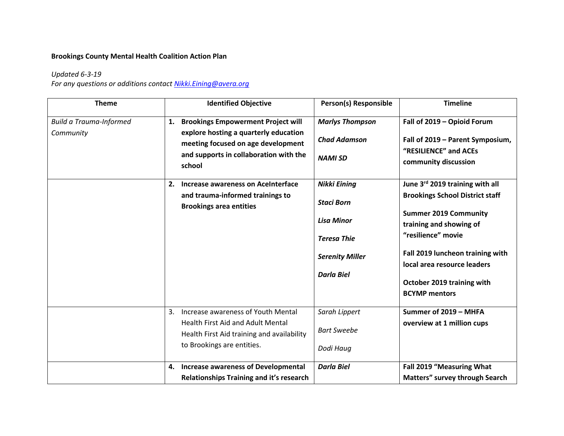## **Brookings County Mental Health Coalition Action Plan**

## *Updated 6-3-19*

*For any questions or additions contact [Nikki.Eining@avera.org](mailto:Nikki.Eining@avera.org)*

| <b>Theme</b>                                | <b>Identified Objective</b>                                                                                                                                                                                | Person(s) Responsible                                                                                                              | <b>Timeline</b>                                                                                                                                                                                                                                                                     |
|---------------------------------------------|------------------------------------------------------------------------------------------------------------------------------------------------------------------------------------------------------------|------------------------------------------------------------------------------------------------------------------------------------|-------------------------------------------------------------------------------------------------------------------------------------------------------------------------------------------------------------------------------------------------------------------------------------|
| <b>Build a Trauma-Informed</b><br>Community | <b>Brookings Empowerment Project will</b><br>1.<br>explore hosting a quarterly education<br>meeting focused on age development<br>and supports in collaboration with the<br>school                         | <b>Marlys Thompson</b><br><b>Chad Adamson</b><br><b>NAMI SD</b>                                                                    | Fall of 2019 - Opioid Forum<br>Fall of 2019 - Parent Symposium,<br>"RESILIENCE" and ACEs<br>community discussion                                                                                                                                                                    |
|                                             | 2. Increase awareness on AceInterface<br>and trauma-informed trainings to<br><b>Brookings area entities</b>                                                                                                | <b>Nikki Eining</b><br><b>Staci Born</b><br><b>Lisa Minor</b><br><b>Teresa Thie</b><br><b>Serenity Miller</b><br><b>Darla Biel</b> | June 3rd 2019 training with all<br><b>Brookings School District staff</b><br><b>Summer 2019 Community</b><br>training and showing of<br>"resilience" movie<br>Fall 2019 luncheon training with<br>local area resource leaders<br>October 2019 training with<br><b>BCYMP</b> mentors |
|                                             | Increase awareness of Youth Mental<br>3.<br><b>Health First Aid and Adult Mental</b><br>Health First Aid training and availability<br>to Brookings are entities.<br>4. Increase awareness of Developmental | Sarah Lippert<br><b>Bart Sweebe</b><br>Dodi Haug<br><b>Darla Biel</b>                                                              | Summer of 2019 - MHFA<br>overview at 1 million cups<br>Fall 2019 "Measuring What                                                                                                                                                                                                    |
|                                             | Relationships Training and it's research                                                                                                                                                                   |                                                                                                                                    | Matters" survey through Search                                                                                                                                                                                                                                                      |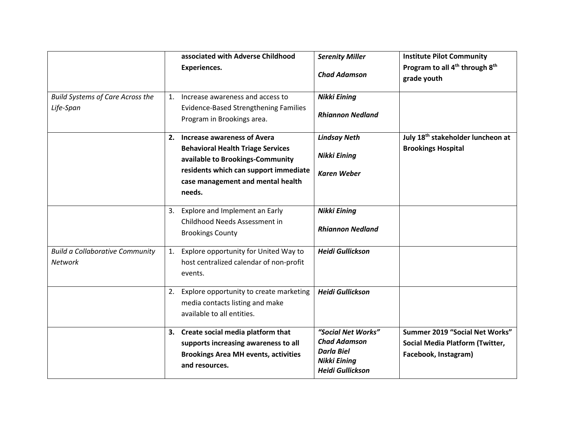|                                                          | associated with Adverse Childhood<br><b>Experiences.</b>                                                                                      | <b>Serenity Miller</b><br><b>Chad Adamson</b>                                                                    | <b>Institute Pilot Community</b><br>Program to all 4 <sup>th</sup> through 8 <sup>th</sup><br>grade youth |
|----------------------------------------------------------|-----------------------------------------------------------------------------------------------------------------------------------------------|------------------------------------------------------------------------------------------------------------------|-----------------------------------------------------------------------------------------------------------|
| <b>Build Systems of Care Across the</b><br>Life-Span     | 1. Increase awareness and access to<br><b>Evidence-Based Strengthening Families</b><br>Program in Brookings area.                             | <b>Nikki Eining</b><br><b>Rhiannon Nedland</b>                                                                   |                                                                                                           |
|                                                          | 2. Increase awareness of Avera<br><b>Behavioral Health Triage Services</b><br>available to Brookings-Community                                | <b>Lindsay Neth</b><br><b>Nikki Eining</b>                                                                       | July 18 <sup>th</sup> stakeholder luncheon at<br><b>Brookings Hospital</b>                                |
|                                                          | residents which can support immediate<br>case management and mental health<br>needs.                                                          | <b>Karen Weber</b>                                                                                               |                                                                                                           |
|                                                          | 3. Explore and Implement an Early<br>Childhood Needs Assessment in<br><b>Brookings County</b>                                                 | <b>Nikki Eining</b><br><b>Rhiannon Nedland</b>                                                                   |                                                                                                           |
| <b>Build a Collaborative Community</b><br><b>Network</b> | Explore opportunity for United Way to<br>1.<br>host centralized calendar of non-profit<br>events.                                             | <b>Heidi Gullickson</b>                                                                                          |                                                                                                           |
|                                                          | Explore opportunity to create marketing<br>2.<br>media contacts listing and make<br>available to all entities.                                | <b>Heidi Gullickson</b>                                                                                          |                                                                                                           |
|                                                          | 3. Create social media platform that<br>supports increasing awareness to all<br><b>Brookings Area MH events, activities</b><br>and resources. | "Social Net Works"<br><b>Chad Adamson</b><br><b>Darla Biel</b><br><b>Nikki Eining</b><br><b>Heidi Gullickson</b> | Summer 2019 "Social Net Works"<br>Social Media Platform (Twitter,<br>Facebook, Instagram)                 |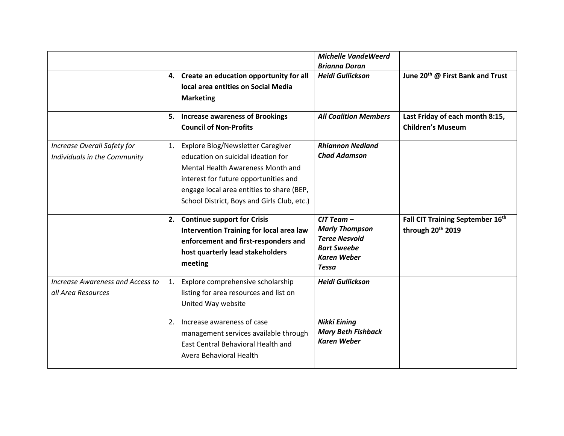|                                                             |    | 4. Create an education opportunity for all<br>local area entities on Social Media<br><b>Marketing</b>                                                                                                                                                | <b>Michelle VandeWeerd</b><br><b>Brianna Doran</b><br><b>Heidi Gullickson</b>                                               | June 20 <sup>th</sup> @ First Bank and Trust                |
|-------------------------------------------------------------|----|------------------------------------------------------------------------------------------------------------------------------------------------------------------------------------------------------------------------------------------------------|-----------------------------------------------------------------------------------------------------------------------------|-------------------------------------------------------------|
|                                                             |    | 5. Increase awareness of Brookings<br><b>Council of Non-Profits</b>                                                                                                                                                                                  | <b>All Coalition Members</b>                                                                                                | Last Friday of each month 8:15,<br><b>Children's Museum</b> |
| Increase Overall Safety for<br>Individuals in the Community |    | 1. Explore Blog/Newsletter Caregiver<br>education on suicidal ideation for<br>Mental Health Awareness Month and<br>interest for future opportunities and<br>engage local area entities to share (BEP,<br>School District, Boys and Girls Club, etc.) | <b>Rhiannon Nedland</b><br><b>Chad Adamson</b>                                                                              |                                                             |
|                                                             |    | 2. Continue support for Crisis<br><b>Intervention Training for local area law</b><br>enforcement and first-responders and<br>host quarterly lead stakeholders<br>meeting                                                                             | $CIT$ Team $-$<br><b>Marly Thompson</b><br><b>Teree Nesvold</b><br><b>Bart Sweebe</b><br><b>Karen Weber</b><br><b>Tessa</b> | Fall CIT Training September 16th<br>through 20th 2019       |
| Increase Awareness and Access to<br>all Area Resources      | 1. | Explore comprehensive scholarship<br>listing for area resources and list on<br>United Way website                                                                                                                                                    | <b>Heidi Gullickson</b>                                                                                                     |                                                             |
|                                                             |    | 2. Increase awareness of case<br>management services available through<br>East Central Behavioral Health and<br>Avera Behavioral Health                                                                                                              | <b>Nikki Eining</b><br><b>Mary Beth Fishback</b><br><b>Karen Weber</b>                                                      |                                                             |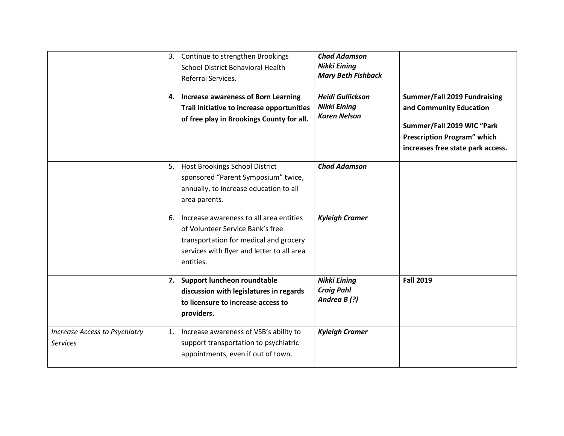|                                      | 3. Continue to strengthen Brookings        | <b>Chad Adamson</b>       |                                     |
|--------------------------------------|--------------------------------------------|---------------------------|-------------------------------------|
|                                      | <b>School District Behavioral Health</b>   | <b>Nikki Eining</b>       |                                     |
|                                      | Referral Services.                         | <b>Mary Beth Fishback</b> |                                     |
|                                      |                                            |                           |                                     |
|                                      | 4. Increase awareness of Born Learning     | <b>Heidi Gullickson</b>   | <b>Summer/Fall 2019 Fundraising</b> |
|                                      | Trail initiative to increase opportunities | <b>Nikki Eining</b>       | and Community Education             |
|                                      | of free play in Brookings County for all.  | <b>Karen Nelson</b>       | Summer/Fall 2019 WIC "Park          |
|                                      |                                            |                           | <b>Prescription Program" which</b>  |
|                                      |                                            |                           |                                     |
|                                      |                                            |                           | increases free state park access.   |
|                                      | 5. Host Brookings School District          | <b>Chad Adamson</b>       |                                     |
|                                      | sponsored "Parent Symposium" twice,        |                           |                                     |
|                                      | annually, to increase education to all     |                           |                                     |
|                                      | area parents.                              |                           |                                     |
|                                      |                                            |                           |                                     |
|                                      | 6. Increase awareness to all area entities | <b>Kyleigh Cramer</b>     |                                     |
|                                      | of Volunteer Service Bank's free           |                           |                                     |
|                                      | transportation for medical and grocery     |                           |                                     |
|                                      | services with flyer and letter to all area |                           |                                     |
|                                      | entities.                                  |                           |                                     |
|                                      |                                            |                           |                                     |
|                                      | 7. Support luncheon roundtable             | <b>Nikki Eining</b>       | <b>Fall 2019</b>                    |
|                                      | discussion with legislatures in regards    | <b>Craig Pahl</b>         |                                     |
|                                      | to licensure to increase access to         | Andrea B(?)               |                                     |
|                                      | providers.                                 |                           |                                     |
| <b>Increase Access to Psychiatry</b> | 1. Increase awareness of VSB's ability to  | <b>Kyleigh Cramer</b>     |                                     |
| <b>Services</b>                      | support transportation to psychiatric      |                           |                                     |
|                                      | appointments, even if out of town.         |                           |                                     |
|                                      |                                            |                           |                                     |
|                                      |                                            |                           |                                     |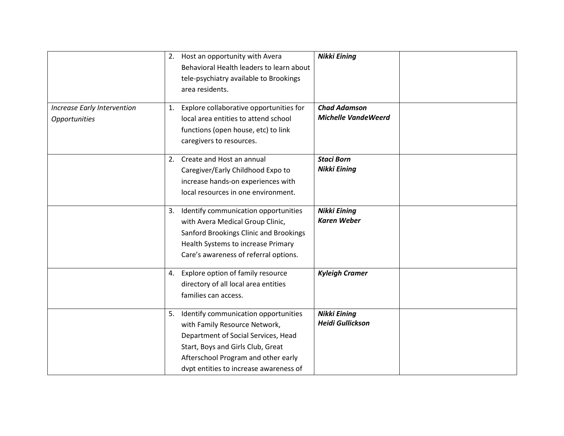| <b>Increase Early Intervention</b> | 1. | 2. Host an opportunity with Avera<br>Behavioral Health leaders to learn about<br>tele-psychiatry available to Brookings<br>area residents.<br>Explore collaborative opportunities for                                              | <b>Nikki Eining</b><br><b>Chad Adamson</b>     |  |
|------------------------------------|----|------------------------------------------------------------------------------------------------------------------------------------------------------------------------------------------------------------------------------------|------------------------------------------------|--|
| Opportunities                      |    | local area entities to attend school<br>functions (open house, etc) to link<br>caregivers to resources.                                                                                                                            | <b>Michelle VandeWeerd</b>                     |  |
|                                    |    | 2. Create and Host an annual<br>Caregiver/Early Childhood Expo to<br>increase hands-on experiences with<br>local resources in one environment.                                                                                     | <b>Staci Born</b><br>Nikki Eining              |  |
|                                    | 3. | Identify communication opportunities<br>with Avera Medical Group Clinic,<br>Sanford Brookings Clinic and Brookings<br>Health Systems to increase Primary<br>Care's awareness of referral options.                                  | <b>Nikki Eining</b><br><b>Karen Weber</b>      |  |
|                                    |    | 4. Explore option of family resource<br>directory of all local area entities<br>families can access.                                                                                                                               | <b>Kyleigh Cramer</b>                          |  |
|                                    | 5. | Identify communication opportunities<br>with Family Resource Network,<br>Department of Social Services, Head<br>Start, Boys and Girls Club, Great<br>Afterschool Program and other early<br>dvpt entities to increase awareness of | <b>Nikki Eining</b><br><b>Heidi Gullickson</b> |  |